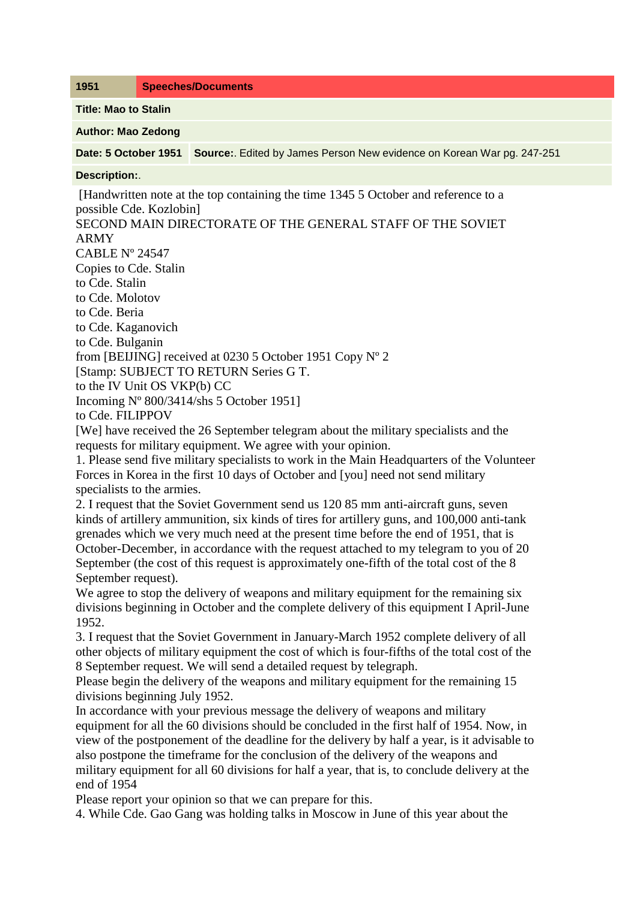**1951 Speeches/Documents**

**Title: Mao to Stalin**

**Author: Mao Zedong**

**Date: 5 October 1951 Source:**. Edited by James Person New evidence on Korean War pg. 247-251

## **Description:**.

[Handwritten note at the top containing the time 1345 5 October and reference to a possible Cde. Kozlobin]

SECOND MAIN DIRECTORATE OF THE GENERAL STAFF OF THE SOVIET ARMY CABLE Nº 24547 Copies to Cde. Stalin to Cde. Stalin to Cde. Molotov to Cde. Beria to Cde. Kaganovich to Cde. Bulganin from [BEIJING] received at 0230 5 October 1951 Copy Nº 2 [Stamp: SUBJECT TO RETURN Series G T. to the IV Unit OS VKP(b) CC Incoming Nº 800/3414/shs 5 October 1951] to Cde. FILIPPOV [We] have received the 26 September telegram about the military specialists and the requests for military equipment. We agree with your opinion.

1. Please send five military specialists to work in the Main Headquarters of the Volunteer Forces in Korea in the first 10 days of October and [you] need not send military specialists to the armies.

2. I request that the Soviet Government send us 120 85 mm anti-aircraft guns, seven kinds of artillery ammunition, six kinds of tires for artillery guns, and 100,000 anti-tank grenades which we very much need at the present time before the end of 1951, that is October-December, in accordance with the request attached to my telegram to you of 20 September (the cost of this request is approximately one-fifth of the total cost of the 8 September request).

We agree to stop the delivery of weapons and military equipment for the remaining six divisions beginning in October and the complete delivery of this equipment I April-June 1952.

3. I request that the Soviet Government in January-March 1952 complete delivery of all other objects of military equipment the cost of which is four-fifths of the total cost of the 8 September request. We will send a detailed request by telegraph.

Please begin the delivery of the weapons and military equipment for the remaining 15 divisions beginning July 1952.

In accordance with your previous message the delivery of weapons and military equipment for all the 60 divisions should be concluded in the first half of 1954. Now, in view of the postponement of the deadline for the delivery by half a year, is it advisable to also postpone the timeframe for the conclusion of the delivery of the weapons and military equipment for all 60 divisions for half a year, that is, to conclude delivery at the end of 1954

Please report your opinion so that we can prepare for this.

4. While Cde. Gao Gang was holding talks in Moscow in June of this year about the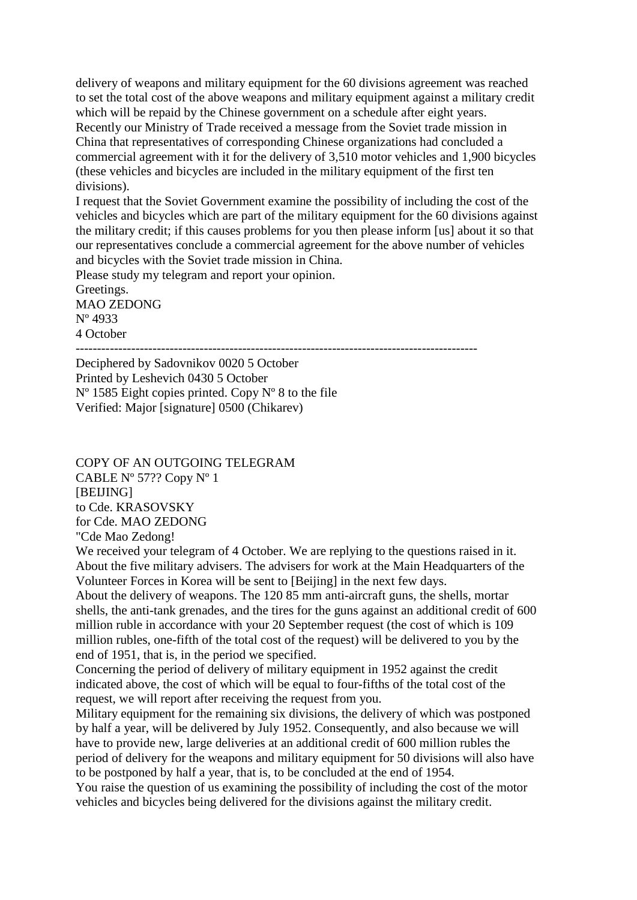delivery of weapons and military equipment for the 60 divisions agreement was reached to set the total cost of the above weapons and military equipment against a military credit which will be repaid by the Chinese government on a schedule after eight years. Recently our Ministry of Trade received a message from the Soviet trade mission in China that representatives of corresponding Chinese organizations had concluded a commercial agreement with it for the delivery of 3,510 motor vehicles and 1,900 bicycles (these vehicles and bicycles are included in the military equipment of the first ten divisions).

I request that the Soviet Government examine the possibility of including the cost of the vehicles and bicycles which are part of the military equipment for the 60 divisions against the military credit; if this causes problems for you then please inform [us] about it so that our representatives conclude a commercial agreement for the above number of vehicles and bicycles with the Soviet trade mission in China.

Please study my telegram and report your opinion.

Greetings. MAO ZEDONG Nº 4933 4 October

----------------------------------------------------------------------------------------------

Deciphered by Sadovnikov 0020 5 October Printed by Leshevich 0430 5 October  $N^{\circ}$  1585 Eight copies printed. Copy  $N^{\circ}$  8 to the file Verified: Major [signature] 0500 (Chikarev)

COPY OF AN OUTGOING TELEGRAM CABLE Nº 57?? Copy Nº 1 [BEIJING] to Cde. KRASOVSKY for Cde. MAO ZEDONG "Cde Mao Zedong!

We received your telegram of 4 October. We are replying to the questions raised in it. About the five military advisers. The advisers for work at the Main Headquarters of the Volunteer Forces in Korea will be sent to [Beijing] in the next few days.

About the delivery of weapons. The 120 85 mm anti-aircraft guns, the shells, mortar shells, the anti-tank grenades, and the tires for the guns against an additional credit of 600 million ruble in accordance with your 20 September request (the cost of which is 109 million rubles, one-fifth of the total cost of the request) will be delivered to you by the end of 1951, that is, in the period we specified.

Concerning the period of delivery of military equipment in 1952 against the credit indicated above, the cost of which will be equal to four-fifths of the total cost of the request, we will report after receiving the request from you.

Military equipment for the remaining six divisions, the delivery of which was postponed by half a year, will be delivered by July 1952. Consequently, and also because we will have to provide new, large deliveries at an additional credit of 600 million rubles the period of delivery for the weapons and military equipment for 50 divisions will also have to be postponed by half a year, that is, to be concluded at the end of 1954.

You raise the question of us examining the possibility of including the cost of the motor vehicles and bicycles being delivered for the divisions against the military credit.